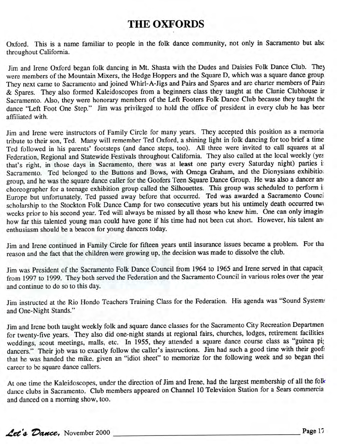## **THE OXFORDS**

Oxford. This is a name familiar to people in the folk dance community, not only in Sacramento but alsc throughout California.

Jim and Irene Oxford began folk dancing in Mt. Shasta with the Dudes and Daisies Folk Dance Club. The) were members of the Mountain Mixers, the Hedge Hoppers and the Square D, which was a square dance group They next came to Sacramento and joined Whirl-A-Jigs and Pairs and Spares and are charter members of Pairs & Spares. They also formed Kaleidoscopes from a beginners class they taught at the Clunie Clubhouse ir Sacramento. Also, they were honorary members of the Left Footers Folk Dance Club because they taught the dance "Left Foot One Step." Jim was privileged to hold the office of president in every club he has beer affiliated with.

Jim and Irene were instructors of Family Circle for many years. They accepted this position as a memoria tribute to their son, Ted. Many will remember Ted Oxford, a shining light in folk dancing for too brief a time Ted followed in his parents' footsteps (and dance steps, too). All three were invited to call squares at al Federation, Regional and Statewide Festivals throughout California. They also called at the local weekly (yes that's right, in those days in Sacramento, there was at **least** one party every Saturday night) parties i Sacramento. Ted belonged to the Buttons and Bows, with Omega Graham, and the Dionysians exhibition group, and he was the square dance caller for the Goofers Teen Square Dance Group. He was also a dancer and choreographer for a teenage exhibition group called the Silhouettes. This group was scheduled to perform i Europe but unfortunately, Ted passed away before that occurred. Ted was awarded a Sacramento Counci scholarship to the Stockton Folk Dance Camp for two consecutive years but his untimely death occurred two weeks prior to his second year. Ted will always be missed by all those who knew him. One can only imagin how far this talented young man could have gone if his time had not been cut short. However, his talent an< enthusiasm should be a beacon for young dancers today.

Jim and Irene continued in Family Circle for fifteen years until insurance issues became a problem. For tha reason and the fact that the children were growing up, the decision was made to dissolve the club.

Jim was President of the Sacramento Folk Dance Council from 1964 to 1965 and Irene served in that capacit from 1997 to 1999. They both served the Federation and the Sacramento Council in various roles over the year and continue to do so to this day.

Jim instructed at the Rio Hondo Teachers Training Class for the Federation. His agenda was "Sound Systems and One-Night Stands."

Jim and Irene both taught weekly folk and square dance classes for the Sacramento City Recreation Departmen for twenty-five years. They also did one-night stands at regional fairs, churches, lodges, retirement facilities weddings, scout meetings, malls, etc. In 1955, they attended a square dance course class as "guinea pi; dancers." Their job was to exactly follow the caller's instructions. Jim had such a good time with their goofs that he was handed the mike, given an "idiot sheet" to memorize for the following week and so began thei career to be square dance callers.

At one time the Kaleidoscopes, under the direction of Jim and Irene, had the largest membership of all the folk dance clubs in Sacramento. Club members appeared on Channel 10 Television Station for a Sears commercia and danced on a morning show, too.